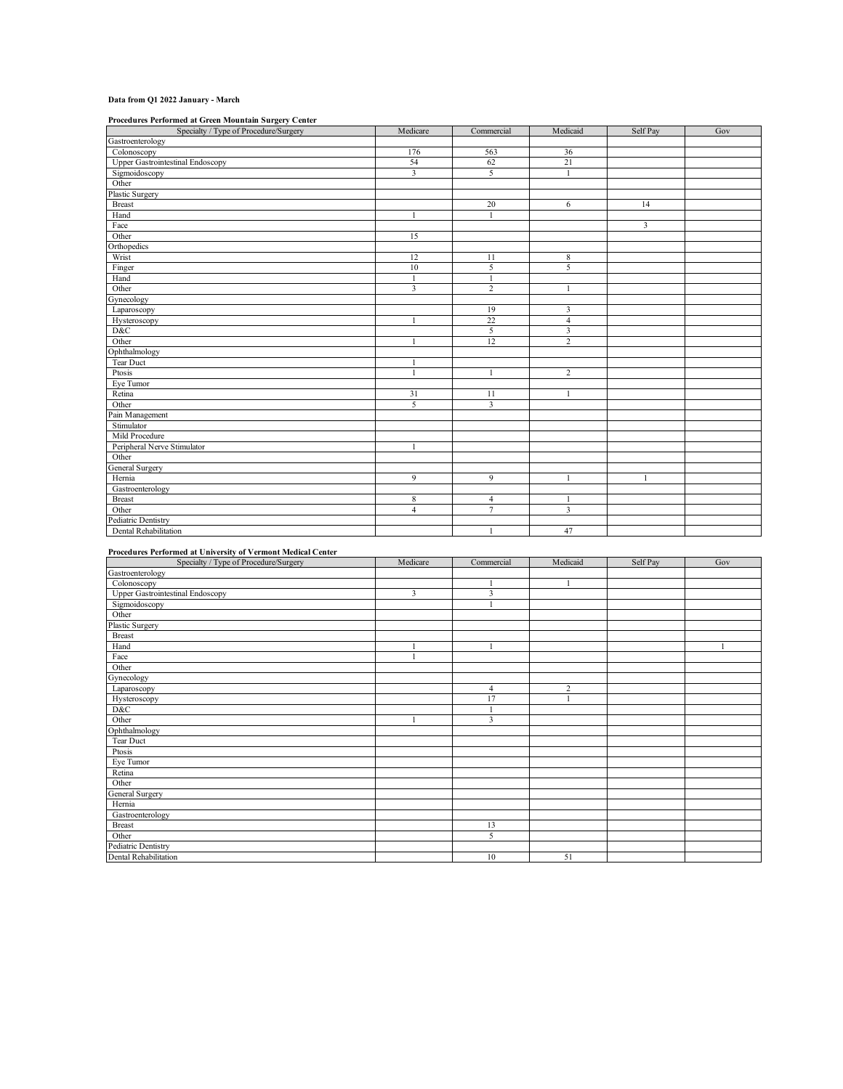## **Data from Q1 2022 January - March**

**Procedures Performed at Green Mountain Surgery Center**

| Specialty / Type of Procedure/Surgery   | Medicare                | Commercial     | Medicaid                | Self Pay     | Gov |
|-----------------------------------------|-------------------------|----------------|-------------------------|--------------|-----|
| Gastroenterology                        |                         |                |                         |              |     |
| Colonoscopy                             | 176                     | 563            | 36                      |              |     |
| <b>Upper Gastrointestinal Endoscopy</b> | 54                      | 62             | 21                      |              |     |
| Sigmoidoscopy                           | $\overline{\mathbf{3}}$ | 5              | $\overline{1}$          |              |     |
| Other                                   |                         |                |                         |              |     |
| Plastic Surgery                         |                         |                |                         |              |     |
| <b>Breast</b>                           |                         | 20             | 6                       | 14           |     |
| Hand                                    |                         | $\mathbf{1}$   |                         |              |     |
| Face                                    |                         |                |                         | 3            |     |
| Other                                   | 15                      |                |                         |              |     |
| Orthopedics                             |                         |                |                         |              |     |
| Wrist                                   | 12                      | 11             | $\,$ 8 $\,$             |              |     |
| Finger                                  | 10                      | 5              | $\overline{5}$          |              |     |
| Hand                                    |                         | $\mathbf{1}$   |                         |              |     |
| Other                                   | $\overline{\mathbf{3}}$ | $\overline{2}$ | $\overline{1}$          |              |     |
| Gynecology                              |                         |                |                         |              |     |
| Laparoscopy                             |                         | 19             | $\overline{\mathbf{3}}$ |              |     |
| Hysteroscopy                            |                         | 22             | $\overline{4}$          |              |     |
| D&C                                     |                         | 5              | $\overline{\mathbf{3}}$ |              |     |
| Other                                   |                         | 12             | $\overline{c}$          |              |     |
| Ophthalmology                           |                         |                |                         |              |     |
| Tear Duct                               | 1                       |                |                         |              |     |
| Ptosis                                  | 1                       | $\mathbf{1}$   | $\overline{c}$          |              |     |
| Eye Tumor                               |                         |                |                         |              |     |
| Retina                                  | 31                      | 11             |                         |              |     |
| Other                                   | 5                       | 3              |                         |              |     |
| Pain Management                         |                         |                |                         |              |     |
| Stimulator                              |                         |                |                         |              |     |
| Mild Procedure                          |                         |                |                         |              |     |
| Peripheral Nerve Stimulator             | 1                       |                |                         |              |     |
| Other                                   |                         |                |                         |              |     |
| <b>General Surgery</b>                  |                         |                |                         |              |     |
| Hernia                                  | 9                       | 9              | $\mathbf{1}$            | $\mathbf{1}$ |     |
| Gastroenterology                        |                         |                |                         |              |     |
| <b>Breast</b>                           | 8                       | $\overline{4}$ | $\mathbf{1}$            |              |     |
| Other                                   | $\overline{4}$          | 7              | $\overline{3}$          |              |     |
| Pediatric Dentistry                     |                         |                |                         |              |     |
| Dental Rehabilitation                   |                         | 1              | 47                      |              |     |

## **Procedures Performed at University of Vermont Medical Center**

| Specialty / Type of Procedure/Surgery   | Medicare | Commercial     | Medicaid       | Self Pay | Gov |
|-----------------------------------------|----------|----------------|----------------|----------|-----|
| Gastroenterology                        |          |                |                |          |     |
| Colonoscopy                             |          |                |                |          |     |
| <b>Upper Gastrointestinal Endoscopy</b> | 3        | 3              |                |          |     |
| Sigmoidoscopy                           |          |                |                |          |     |
| Other                                   |          |                |                |          |     |
| Plastic Surgery                         |          |                |                |          |     |
| <b>Breast</b>                           |          |                |                |          |     |
| Hand                                    |          |                |                |          |     |
| Face                                    |          |                |                |          |     |
| Other                                   |          |                |                |          |     |
| Gynecology                              |          |                |                |          |     |
| Laparoscopy                             |          | $\overline{4}$ | $\overline{2}$ |          |     |
| Hysteroscopy                            |          | 17             | -1             |          |     |
| D&C                                     |          |                |                |          |     |
| Other                                   |          | 3              |                |          |     |
| Ophthalmology                           |          |                |                |          |     |
| Tear Duct                               |          |                |                |          |     |
| Ptosis                                  |          |                |                |          |     |
| Eye Tumor                               |          |                |                |          |     |
| Retina                                  |          |                |                |          |     |
| Other                                   |          |                |                |          |     |
| General Surgery                         |          |                |                |          |     |
| Hernia                                  |          |                |                |          |     |
| Gastroenterology                        |          |                |                |          |     |
| <b>Breast</b>                           |          | 13             |                |          |     |
| Other                                   |          | 5              |                |          |     |
| Pediatric Dentistry                     |          |                |                |          |     |
| Dental Rehabilitation                   |          | 10             | 51             |          |     |